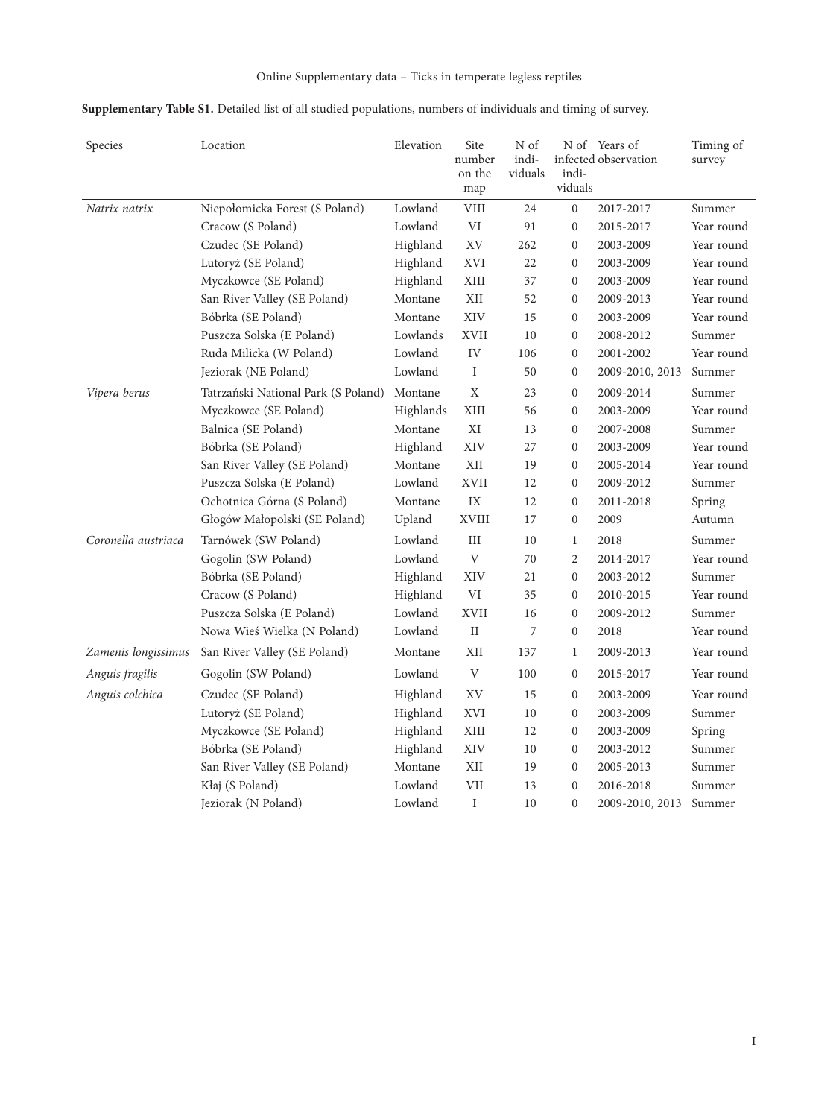| Supplementary Table S1. Detailed list of all studied populations, numbers of individuals and timing of survey. |  |  |
|----------------------------------------------------------------------------------------------------------------|--|--|
|----------------------------------------------------------------------------------------------------------------|--|--|

| Species             | Location                            | Elevation | Site<br>number<br>on the<br>map | N of<br>indi-<br>viduals | indi-<br>viduals | N of Years of<br>infected observation | Timing of<br>survey |
|---------------------|-------------------------------------|-----------|---------------------------------|--------------------------|------------------|---------------------------------------|---------------------|
| Natrix natrix       | Niepołomicka Forest (S Poland)      | Lowland   | ${\rm VIII}$                    | 24                       | $\boldsymbol{0}$ | 2017-2017                             | Summer              |
|                     | Cracow (S Poland)                   | Lowland   | VI                              | 91                       | $\boldsymbol{0}$ | 2015-2017                             | Year round          |
|                     | Czudec (SE Poland)                  | Highland  | $\mathbf{X}\mathbf{V}$          | 262                      | $\boldsymbol{0}$ | 2003-2009                             | Year round          |
|                     | Lutoryż (SE Poland)                 | Highland  | <b>XVI</b>                      | 22                       | $\boldsymbol{0}$ | 2003-2009                             | Year round          |
|                     | Myczkowce (SE Poland)               | Highland  | XIII                            | 37                       | $\boldsymbol{0}$ | 2003-2009                             | Year round          |
|                     | San River Valley (SE Poland)        | Montane   | $\mbox{XII}$                    | 52                       | $\boldsymbol{0}$ | 2009-2013                             | Year round          |
|                     | Bóbrka (SE Poland)                  | Montane   | XIV                             | 15                       | $\boldsymbol{0}$ | 2003-2009                             | Year round          |
|                     | Puszcza Solska (E Poland)           | Lowlands  | <b>XVII</b>                     | 10                       | $\boldsymbol{0}$ | 2008-2012                             | Summer              |
|                     | Ruda Milicka (W Poland)             | Lowland   | IV                              | 106                      | $\mathbf{0}$     | 2001-2002                             | Year round          |
|                     | Jeziorak (NE Poland)                | Lowland   | I                               | 50                       | $\boldsymbol{0}$ | 2009-2010, 2013                       | Summer              |
| Vipera berus        | Tatrzański National Park (S Poland) | Montane   | $\mathbf X$                     | 23                       | $\boldsymbol{0}$ | 2009-2014                             | Summer              |
|                     | Myczkowce (SE Poland)               | Highlands | XIII                            | 56                       | $\boldsymbol{0}$ | 2003-2009                             | Year round          |
|                     | Balnica (SE Poland)                 | Montane   | $\mathbf{X}\mathbf{I}$          | 13                       | $\boldsymbol{0}$ | 2007-2008                             | Summer              |
|                     | Bóbrka (SE Poland)                  | Highland  | XIV                             | 27                       | $\boldsymbol{0}$ | 2003-2009                             | Year round          |
|                     | San River Valley (SE Poland)        | Montane   | $\mbox{XII}$                    | 19                       | $\boldsymbol{0}$ | 2005-2014                             | Year round          |
|                     | Puszcza Solska (E Poland)           | Lowland   | XVII                            | 12                       | $\boldsymbol{0}$ | 2009-2012                             | Summer              |
|                     | Ochotnica Górna (S Poland)          | Montane   | IX                              | 12                       | $\boldsymbol{0}$ | 2011-2018                             | Spring              |
|                     | Głogów Małopolski (SE Poland)       | Upland    | XVIII                           | 17                       | $\boldsymbol{0}$ | 2009                                  | Autumn              |
| Coronella austriaca | Tarnówek (SW Poland)                | Lowland   | III                             | 10                       | $\mathbf{1}$     | 2018                                  | Summer              |
|                     | Gogolin (SW Poland)                 | Lowland   | $\mathbf{V}$                    | 70                       | $\overline{c}$   | 2014-2017                             | Year round          |
|                     | Bóbrka (SE Poland)                  | Highland  | XIV                             | 21                       | $\boldsymbol{0}$ | 2003-2012                             | Summer              |
|                     | Cracow (S Poland)                   | Highland  | $\mbox{VI}$                     | 35                       | $\boldsymbol{0}$ | 2010-2015                             | Year round          |
|                     | Puszcza Solska (E Poland)           | Lowland   | <b>XVII</b>                     | 16                       | $\mathbf{0}$     | 2009-2012                             | Summer              |
|                     | Nowa Wieś Wielka (N Poland)         | Lowland   | $\rm II$                        | 7                        | $\boldsymbol{0}$ | 2018                                  | Year round          |
| Zamenis longissimus | San River Valley (SE Poland)        | Montane   | XII                             | 137                      | $\mathbf{1}$     | 2009-2013                             | Year round          |
| Anguis fragilis     | Gogolin (SW Poland)                 | Lowland   | V                               | 100                      | $\boldsymbol{0}$ | 2015-2017                             | Year round          |
| Anguis colchica     | Czudec (SE Poland)                  | Highland  | XV                              | 15                       | $\boldsymbol{0}$ | 2003-2009                             | Year round          |
|                     | Lutoryż (SE Poland)                 | Highland  | <b>XVI</b>                      | 10                       | $\boldsymbol{0}$ | 2003-2009                             | Summer              |
|                     | Myczkowce (SE Poland)               | Highland  | $\mbox{XIII}$                   | 12                       | $\boldsymbol{0}$ | 2003-2009                             | Spring              |
|                     | Bóbrka (SE Poland)                  | Highland  | XIV                             | 10                       | $\boldsymbol{0}$ | 2003-2012                             | Summer              |
|                     | San River Valley (SE Poland)        | Montane   | XII                             | 19                       | $\boldsymbol{0}$ | 2005-2013                             | Summer              |
|                     | Kłaj (S Poland)                     | Lowland   | $\ensuremath{\mathrm{VII}}$     | 13                       | $\boldsymbol{0}$ | 2016-2018                             | Summer              |
|                     | Jeziorak (N Poland)                 | Lowland   | I                               | 10                       | $\mathbf{0}$     | 2009-2010, 2013                       | Summer              |